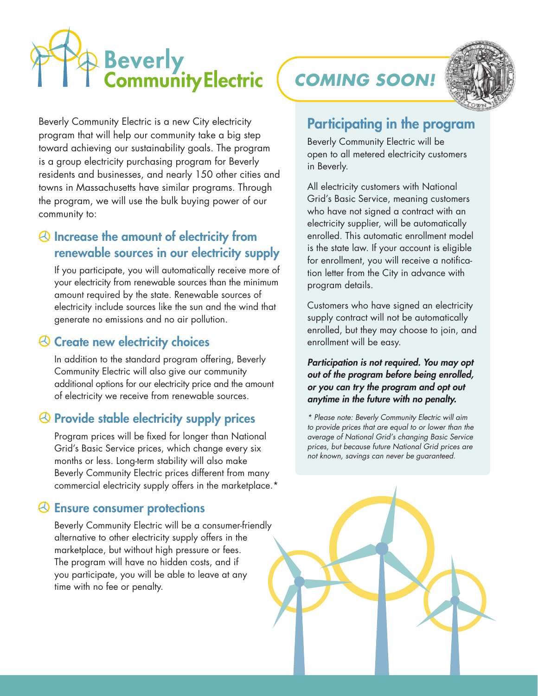# Beverly<br>Community Electric

Beverly Community Electric is a new City electricity program that will help our community take a big step toward achieving our sustainability goals. The program is a group electricity purchasing program for Beverly residents and businesses, and nearly 150 other cities and towns in Massachusetts have similar programs. Through the program, we will use the bulk buying power of our community to:

#### Increase the amount of electricity from renewable sources in our electricity supply

If you participate, you will automatically receive more of your electricity from renewable sources than the minimum amount required by the state. Renewable sources of electricity include sources like the sun and the wind that generate no emissions and no air pollution.

#### **& Create new electricity choices**

In addition to the standard program offering, Beverly Community Electric will also give our community additional options for our electricity price and the amount of electricity we receive from renewable sources.

### $\Theta$  Provide stable electricity supply prices

Program prices will be fixed for longer than National Grid's Basic Service prices, which change every six months or less. Long-term stability will also make Beverly Community Electric prices different from many commercial electricity supply offers in the marketplace.\*

#### Ensure consumer protections

Beverly Community Electric will be a consumer-friendly alternative to other electricity supply offers in the marketplace, but without high pressure or fees. The program will have no hidden costs, and if you participate, you will be able to leave at any time with no fee or penalty.

*COMING SOON!*



## Participating in the program

Beverly Community Electric will be open to all metered electricity customers in Beverly.

All electricity customers with National Grid's Basic Service, meaning customers who have not signed a contract with an electricity supplier, will be automatically enrolled. This automatic enrollment model is the state law. If your account is eligible for enrollment, you will receive a notification letter from the City in advance with program details.

Customers who have signed an electricity supply contract will not be automatically enrolled, but they may choose to join, and enrollment will be easy.

*Participation is not required. You may opt out of the program before being enrolled, or you can try the program and opt out anytime in the future with no penalty.* 

*\* Please note: Beverly Community Electric will aim to provide prices that are equal to or lower than the average of National Grid's changing Basic Service prices, but because future National Grid prices are not known, savings can never be guaranteed.*